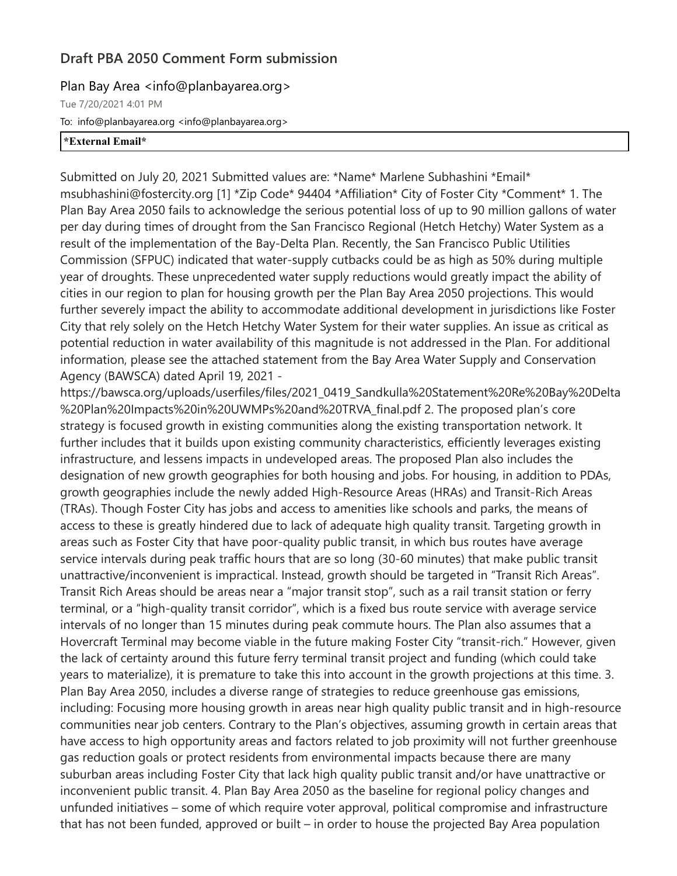## **Draft PBA 2050 Comment Form submission**

## Plan Bay Area <info@planbayarea.org>

Tue 7/20/2021 4:01 PM To: info@planbayarea.org <info@planbayarea.org> **\*External Email\***

Submitted on July 20, 2021 Submitted values are: \*Name\* Marlene Subhashini \*Email\* msubhashini@fostercity.org [1] \*Zip Code\* 94404 \*Affiliation\* City of Foster City \*Comment\* 1. The Plan Bay Area 2050 fails to acknowledge the serious potential loss of up to 90 million gallons of water per day during times of drought from the San Francisco Regional (Hetch Hetchy) Water System as a result of the implementation of the Bay-Delta Plan. Recently, the San Francisco Public Utilities Commission (SFPUC) indicated that water-supply cutbacks could be as high as 50% during multiple year of droughts. These unprecedented water supply reductions would greatly impact the ability of cities in our region to plan for housing growth per the Plan Bay Area 2050 projections. This would further severely impact the ability to accommodate additional development in jurisdictions like Foster City that rely solely on the Hetch Hetchy Water System for their water supplies. An issue as critical as potential reduction in water availability of this magnitude is not addressed in the Plan. For additional information, please see the attached statement from the Bay Area Water Supply and Conservation Agency (BAWSCA) dated April 19, 2021 -

https://bawsca.org/uploads/userfiles/files/2021\_0419\_Sandkulla%20Statement%20Re%20Bay%20Delta %20Plan%20Impacts%20in%20UWMPs%20and%20TRVA\_final.pdf 2. The proposed plan's core strategy is focused growth in existing communities along the existing transportation network. It further includes that it builds upon existing community characteristics, efficiently leverages existing infrastructure, and lessens impacts in undeveloped areas. The proposed Plan also includes the designation of new growth geographies for both housing and jobs. For housing, in addition to PDAs, growth geographies include the newly added High-Resource Areas (HRAs) and Transit-Rich Areas (TRAs). Though Foster City has jobs and access to amenities like schools and parks, the means of access to these is greatly hindered due to lack of adequate high quality transit. Targeting growth in areas such as Foster City that have poor-quality public transit, in which bus routes have average service intervals during peak traffic hours that are so long (30-60 minutes) that make public transit unattractive/inconvenient is impractical. Instead, growth should be targeted in "Transit Rich Areas". Transit Rich Areas should be areas near a "major transit stop", such as a rail transit station or ferry terminal, or a "high-quality transit corridor", which is a fixed bus route service with average service intervals of no longer than 15 minutes during peak commute hours. The Plan also assumes that a Hovercraft Terminal may become viable in the future making Foster City "transit-rich." However, given the lack of certainty around this future ferry terminal transit project and funding (which could take years to materialize), it is premature to take this into account in the growth projections at this time. 3. Plan Bay Area 2050, includes a diverse range of strategies to reduce greenhouse gas emissions, including: Focusing more housing growth in areas near high quality public transit and in high-resource communities near job centers. Contrary to the Plan's objectives, assuming growth in certain areas that have access to high opportunity areas and factors related to job proximity will not further greenhouse gas reduction goals or protect residents from environmental impacts because there are many suburban areas including Foster City that lack high quality public transit and/or have unattractive or inconvenient public transit. 4. Plan Bay Area 2050 as the baseline for regional policy changes and unfunded initiatives – some of which require voter approval, political compromise and infrastructure that has not been funded, approved or built – in order to house the projected Bay Area population